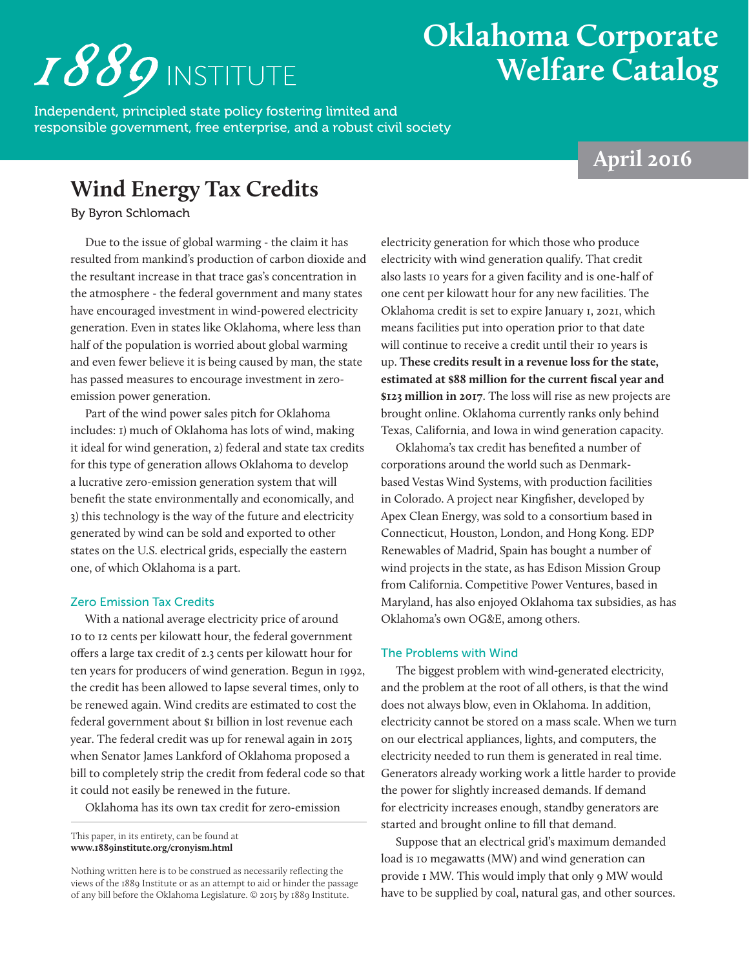# $\textbf{1889}$  institute

## **Oklahoma Corporate Welfare Catalog**

Independent, principled state policy fostering limited and responsible government, free enterprise, and a robust civil society

## **April 2016**

### **Wind Energy Tax Credits**

By Byron Schlomach

Due to the issue of global warming - the claim it has resulted from mankind's production of carbon dioxide and the resultant increase in that trace gas's concentration in the atmosphere - the federal government and many states have encouraged investment in wind-powered electricity generation. Even in states like Oklahoma, where less than half of the population is worried about global warming and even fewer believe it is being caused by man, the state has passed measures to encourage investment in zeroemission power generation.

Part of the wind power sales pitch for Oklahoma includes: 1) much of Oklahoma has lots of wind, making it ideal for wind generation, 2) federal and state tax credits for this type of generation allows Oklahoma to develop a lucrative zero-emission generation system that will benefit the state environmentally and economically, and 3) this technology is the way of the future and electricity generated by wind can be sold and exported to other states on the U.S. electrical grids, especially the eastern one, of which Oklahoma is a part.

#### Zero Emission Tax Credits

With a national average electricity price of around 10 to 12 cents per kilowatt hour, the federal government offers a large tax credit of 2.3 cents per kilowatt hour for ten years for producers of wind generation. Begun in 1992, the credit has been allowed to lapse several times, only to be renewed again. Wind credits are estimated to cost the federal government about \$1 billion in lost revenue each year. The federal credit was up for renewal again in 2015 when Senator James Lankford of Oklahoma proposed a bill to completely strip the credit from federal code so that it could not easily be renewed in the future.

Oklahoma has its own tax credit for zero-emission

electricity generation for which those who produce electricity with wind generation qualify. That credit also lasts 10 years for a given facility and is one-half of one cent per kilowatt hour for any new facilities. The Oklahoma credit is set to expire January 1, 2021, which means facilities put into operation prior to that date will continue to receive a credit until their 10 years is up. **These credits result in a revenue loss for the state, estimated at \$88 million for the current fiscal year and \$123 million in 2017**. The loss will rise as new projects are brought online. Oklahoma currently ranks only behind Texas, California, and Iowa in wind generation capacity.

Oklahoma's tax credit has benefited a number of corporations around the world such as Denmarkbased Vestas Wind Systems, with production facilities in Colorado. A project near Kingfisher, developed by Apex Clean Energy, was sold to a consortium based in Connecticut, Houston, London, and Hong Kong. EDP Renewables of Madrid, Spain has bought a number of wind projects in the state, as has Edison Mission Group from California. Competitive Power Ventures, based in Maryland, has also enjoyed Oklahoma tax subsidies, as has Oklahoma's own OG&E, among others.

#### The Problems with Wind

The biggest problem with wind-generated electricity, and the problem at the root of all others, is that the wind does not always blow, even in Oklahoma. In addition, electricity cannot be stored on a mass scale. When we turn on our electrical appliances, lights, and computers, the electricity needed to run them is generated in real time. Generators already working work a little harder to provide the power for slightly increased demands. If demand for electricity increases enough, standby generators are started and brought online to fill that demand.

Suppose that an electrical grid's maximum demanded load is 10 megawatts (MW) and wind generation can provide 1 MW. This would imply that only 9 MW would have to be supplied by coal, natural gas, and other sources.

This paper, in its entirety, can be found at **www.1889institute.org/cronyism.html**

Nothing written here is to be construed as necessarily reflecting the views of the 1889 Institute or as an attempt to aid or hinder the passage of any bill before the Oklahoma Legislature. © 2015 by 1889 Institute.